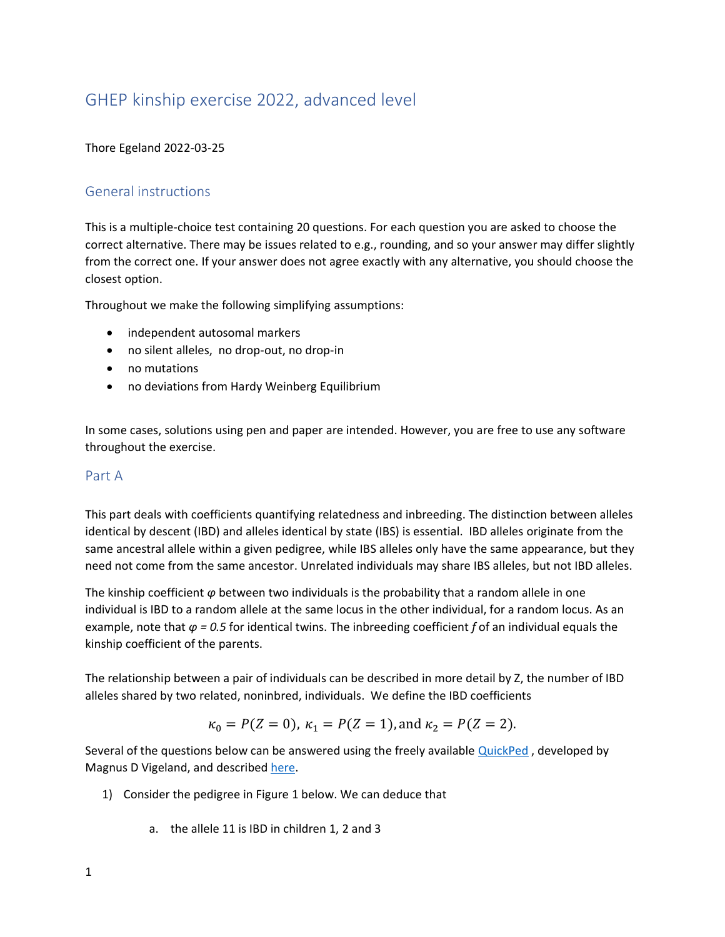# GHEP kinship exercise 2022, advanced level

#### Thore Egeland 2022-03-25

### General instructions

This is a multiple-choice test containing 20 questions. For each question you are asked to choose the correct alternative. There may be issues related to e.g., rounding, and so your answer may differ slightly from the correct one. If your answer does not agree exactly with any alternative, you should choose the closest option.

Throughout we make the following simplifying assumptions:

- independent autosomal markers
- no silent alleles, no drop-out, no drop-in
- no mutations
- no deviations from Hardy Weinberg Equilibrium

In some cases, solutions using pen and paper are intended. However, you are free to use any software throughout the exercise.

#### Part A

This part deals with coefficients quantifying relatedness and inbreeding. The distinction between alleles identical by descent (IBD) and alleles identical by state (IBS) is essential. IBD alleles originate from the same ancestral allele within a given pedigree, while IBS alleles only have the same appearance, but they need not come from the same ancestor. Unrelated individuals may share IBS alleles, but not IBD alleles.

The kinship coefficient *φ* between two individuals is the probability that a random allele in one individual is IBD to a random allele at the same locus in the other individual, for a random locus. As an example, note that *φ = 0.5* for identical twins. The inbreeding coefficient *f* of an individual equals the kinship coefficient of the parents.

The relationship between a pair of individuals can be described in more detail by Z, the number of IBD alleles shared by two related, noninbred, individuals. We define the IBD coefficients

$$
\kappa_0 = P(Z = 0)
$$
,  $\kappa_1 = P(Z = 1)$ , and  $\kappa_2 = P(Z = 2)$ .

Several of the questions below can be answered using the freely available [QuickPed](https://magnusdv.shinyapps.io/quickped/), developed by Magnus D Vigeland, and described [here.](https://magnusdv.github.io/pedsuite/articles/web_only/quickped.html)

- 1) Consider the pedigree in Figure 1 below. We can deduce that
	- a. the allele 11 is IBD in children 1, 2 and 3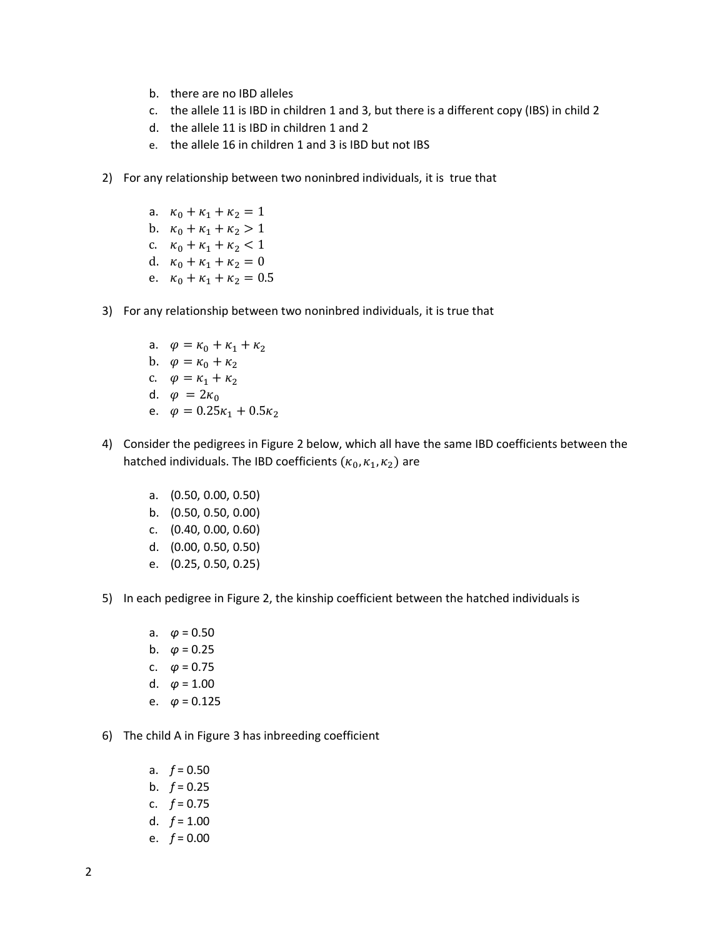- b. there are no IBD alleles
- c. the allele 11 is IBD in children 1 and 3, but there is a different copy (IBS) in child 2
- d. the allele 11 is IBD in children 1 and 2
- e. the allele 16 in children 1 and 3 is IBD but not IBS
- 2) For any relationship between two noninbred individuals, it is true that
	- a.  $\kappa_0 + \kappa_1 + \kappa_2 = 1$ b.  $\kappa_0 + \kappa_1 + \kappa_2 > 1$ c.  $\kappa_0 + \kappa_1 + \kappa_2 < 1$ d.  $\kappa_0 + \kappa_1 + \kappa_2 = 0$ e.  $\kappa_0 + \kappa_1 + \kappa_2 = 0.5$
- 3) For any relationship between two noninbred individuals, it is true that
	- a.  $\varphi = \kappa_0 + \kappa_1 + \kappa_2$ b.  $\varphi = \kappa_0 + \kappa_2$
	- c.  $\varphi = \kappa_1 + \kappa_2$
	- d.  $\varphi = 2\kappa_0$
	- e.  $\varphi = 0.25\kappa_1 + 0.5\kappa_2$
- 4) Consider the pedigrees in Figure 2 below, which all have the same IBD coefficients between the hatched individuals. The IBD coefficients  $(\kappa_0, \kappa_1, \kappa_2)$  are
	- a. (0.50, 0.00, 0.50) b. (0.50, 0.50, 0.00) c. (0.40, 0.00, 0.60)
	- d. (0.00, 0.50, 0.50)
	- e. (0.25, 0.50, 0.25)
- 5) In each pedigree in Figure 2, the kinship coefficient between the hatched individuals is
	- a. *φ* = 0.50
	- b.  $\varphi = 0.25$
	- c.  $\varphi = 0.75$
	- d.  $\varphi = 1.00$
	- e.  $\varphi = 0.125$
- 6) The child A in Figure 3 has inbreeding coefficient
	- a. *f* = 0.50 b.  $f = 0.25$ c.  $f = 0.75$ d.  $f = 1.00$ e. *f* = 0.00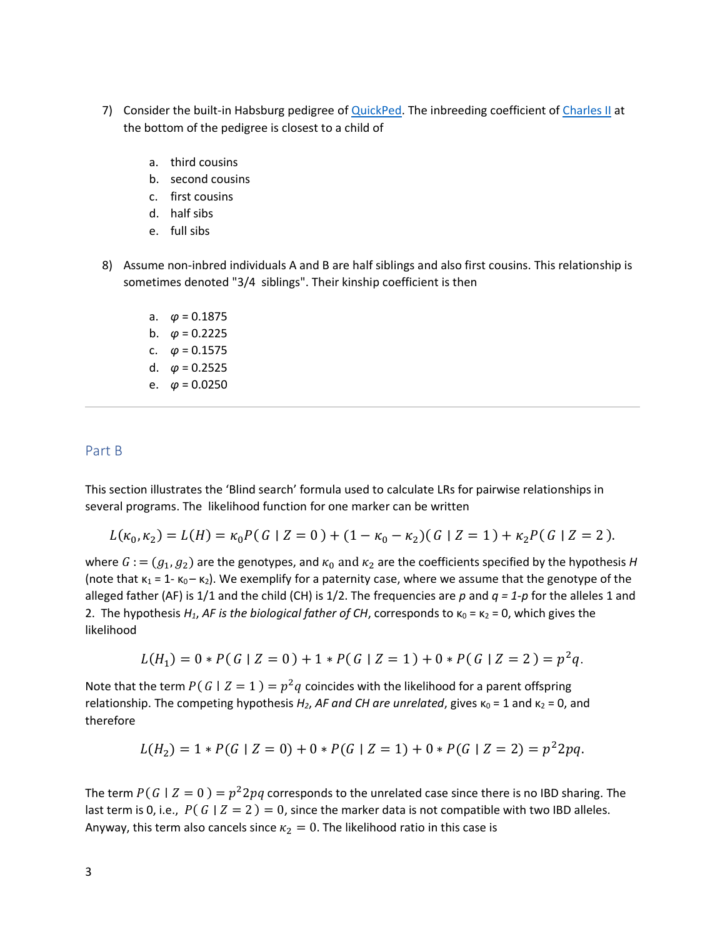- 7) Consider the built-in Habsburg pedigree of [QuickPed.](https://magnusdv.shinyapps.io/quickped/) The inbreeding coefficient of [Charles II](https://es.wikipedia.org/wiki/Carlos_II_de_Espa%C3%B1a) at the bottom of the pedigree is closest to a child of
	- a. third cousins
	- b. second cousins
	- c. first cousins
	- d. half sibs
	- e. full sibs
- 8) Assume non-inbred individuals A and B are half siblings and also first cousins. This relationship is sometimes denoted "3/4 siblings". Their kinship coefficient is then
	- a. *φ* = 0.1875 b.  $\varphi = 0.2225$ c.  $\varphi = 0.1575$ d. *φ* = 0.2525 e.  $\varphi = 0.0250$

#### Part B

This section illustrates the 'Blind search' formula used to calculate LRs for pairwise relationships in several programs. The likelihood function for one marker can be written

$$
L(\kappa_0, \kappa_2) = L(H) = \kappa_0 P(G \mid Z = 0) + (1 - \kappa_0 - \kappa_2)(G \mid Z = 1) + \kappa_2 P(G \mid Z = 2).
$$

where  $G := (g_1, g_2)$  are the genotypes, and  $\kappa_0$  and  $\kappa_2$  are the coefficients specified by the hypothesis *H* (note that  $\kappa_1$  = 1-  $\kappa_0$  –  $\kappa_2$ ). We exemplify for a paternity case, where we assume that the genotype of the alleged father (AF) is 1/1 and the child (CH) is 1/2. The frequencies are *p* and *q = 1-p* for the alleles 1 and 2. The hypothesis *H<sub>1</sub>*, *AF is the biological father of CH*, corresponds to κ<sub>0</sub> = κ<sub>2</sub> = 0, which gives the likelihood

$$
L(H_1) = 0 * P(G | Z = 0) + 1 * P(G | Z = 1) + 0 * P(G | Z = 2) = p^2 q.
$$

Note that the term  $P(|G| | Z = 1) = p^2 q$  coincides with the likelihood for a parent offspring relationship. The competing hypothesis  $H_2$ , AF and CH are unrelated, gives  $\kappa_0 = 1$  and  $\kappa_2 = 0$ , and therefore

$$
L(H_2) = 1 * P(G | Z = 0) + 0 * P(G | Z = 1) + 0 * P(G | Z = 2) = p^2 2pq.
$$

The term  $P(G | Z = 0) = p^2 2pq$  corresponds to the unrelated case since there is no IBD sharing. The last term is 0, i.e.,  $P(G | Z = 2) = 0$ , since the marker data is not compatible with two IBD alleles. Anyway, this term also cancels since  $\kappa_2 = 0$ . The likelihood ratio in this case is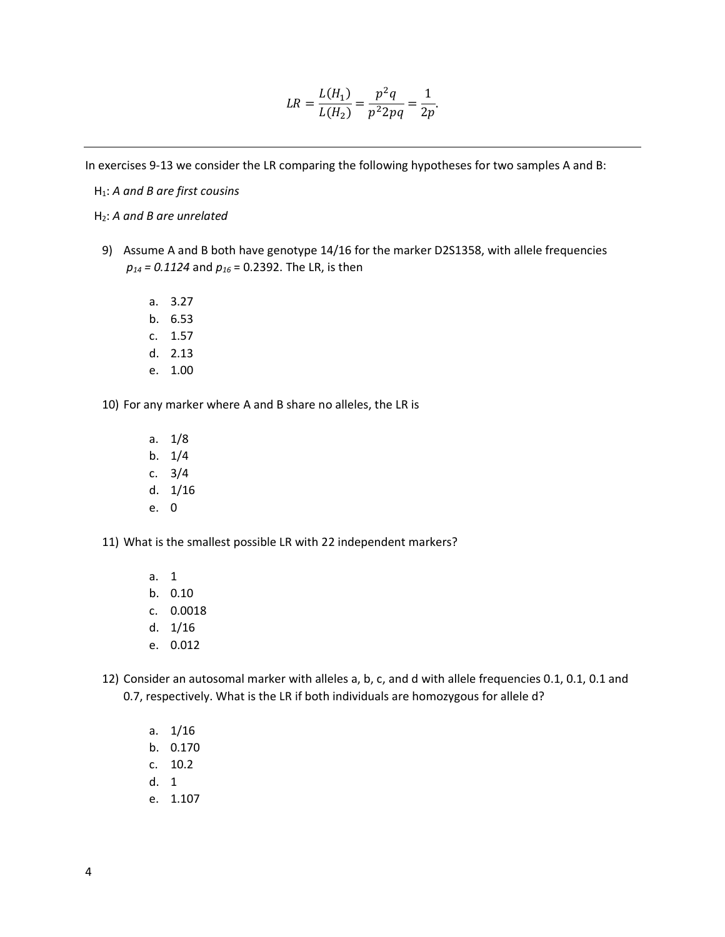$$
LR = \frac{L(H_1)}{L(H_2)} = \frac{p^2 q}{p^2 2pq} = \frac{1}{2p}.
$$

In exercises 9-13 we consider the LR comparing the following hypotheses for two samples A and B:

H<sub>1</sub>: A and B are first cousins

H2: *A and B are unrelated*

- 9) Assume A and B both have genotype 14/16 for the marker D2S1358, with allele frequencies *p<sup>14</sup> = 0.1124* and *p<sup>16</sup>* = 0.2392. The LR, is then
	- a. 3.27
	- b. 6.53
	- c. 1.57
	- d. 2.13
	- e. 1.00

10) For any marker where A and B share no alleles, the LR is

- a. 1/8
- b. 1/4
- c. 3/4
- d. 1/16
- e. 0

11) What is the smallest possible LR with 22 independent markers?

- a. 1
- b. 0.10
- c. 0.0018
- d. 1/16
- e. 0.012
- 12) Consider an autosomal marker with alleles a, b, c, and d with allele frequencies 0.1, 0.1, 0.1 and 0.7, respectively. What is the LR if both individuals are homozygous for allele d?
	- a. 1/16
	- b. 0.170
	- c. 10.2
	- d. 1
	- e. 1.107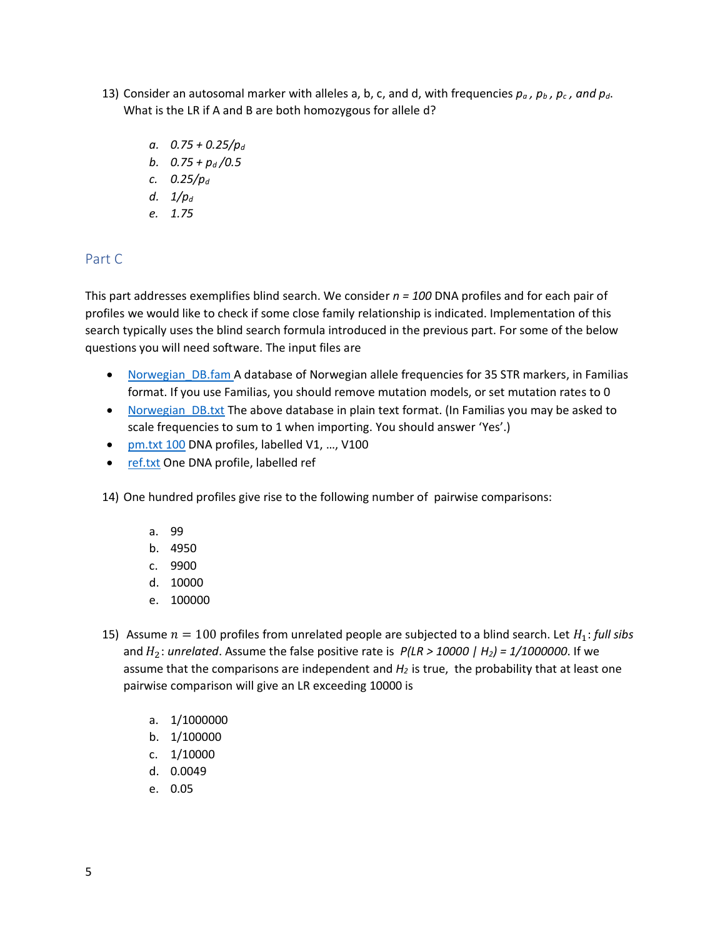- 13) Consider an autosomal marker with alleles a, b, c, and d, with frequencies  $p_a$ ,  $p_b$ ,  $p_c$ , and  $p_d$ . What is the LR if A and B are both homozygous for allele d?
	- *a. 0.75 + 0.25/p<sup>d</sup>*
	- *b. 0.75 + p<sup>d</sup> /0.5*
	- *c. 0.25/p<sup>d</sup>*
	- *d. 1/p<sup>d</sup>*
	- *e. 1.75*

### Part C

This part addresses exemplifies blind search. We consider *n = 100* DNA profiles and for each pair of profiles we would like to check if some close family relationship is indicated. Implementation of this search typically uses the blind search formula introduced in the previous part. For some of the below questions you will need software. The input files are

- [Norwegian\\_DB.fam A](https://familias.name/ghep22/Norwegian_DB.fam) database of Norwegian allele frequencies for 35 STR markers, in Familias format. If you use Familias, you should remove mutation models, or set mutation rates to 0
- Norwegian DB.txt The above database in plain text format. (In Familias you may be asked to scale frequencies to sum to 1 when importing. You should answer 'Yes'.)
- [pm.txt 100](https://familias.name/ghep22/pm.txt) DNA profiles, labelled V1, ..., V100
- [ref.txt](https://familias.name/ghep22/ref.txt) One DNA profile, labelled ref

14) One hundred profiles give rise to the following number of pairwise comparisons:

- a. 99
- b. 4950
- c. 9900
- d. 10000
- e. 100000
- 15) Assume  $n = 100$  profiles from unrelated people are subjected to a blind search. Let  $H_1$ : *full sibs* and  $H_2$ : *unrelated*. Assume the false positive rate is  $P(LR > 10000 | H_2) = 1/1000000$ . If we assume that the comparisons are independent and *H2* is true, the probability that at least one pairwise comparison will give an LR exceeding 10000 is
	- a. 1/1000000
	- b. 1/100000
	- c. 1/10000
	- d. 0.0049
	- e. 0.05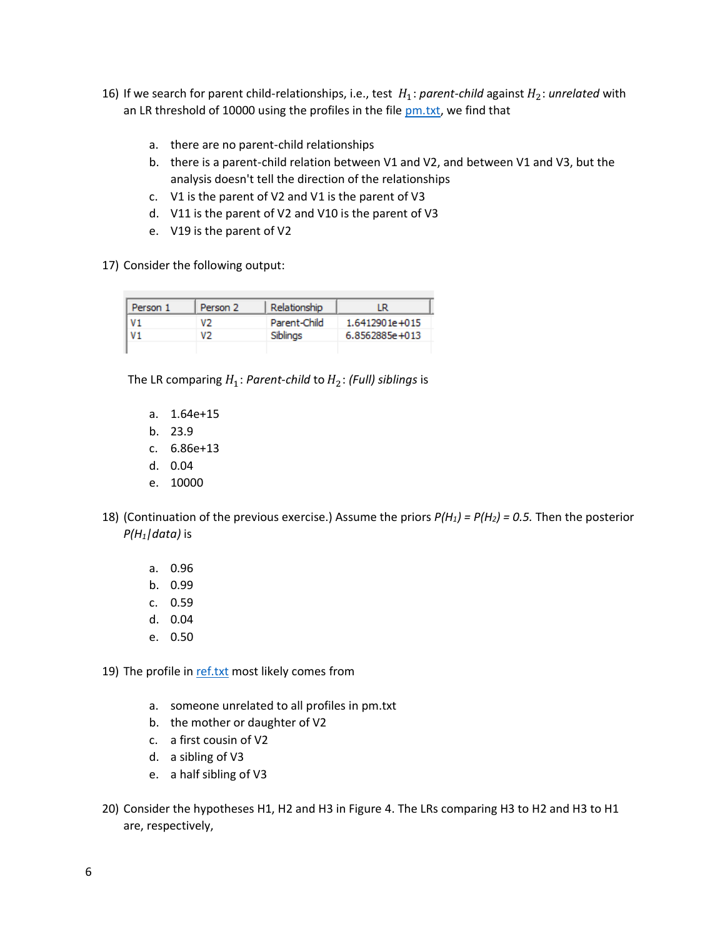- 16) If we search for parent child-relationships, i.e., test  $H_1$ : *parent-child* against  $H_2$ : *unrelated* with an LR threshold of 10000 using the profiles in the file [pm.txt,](https://familias.name/ghep22/pm.txt) we find that
	- a. there are no parent-child relationships
	- b. there is a parent-child relation between V1 and V2, and between V1 and V3, but the analysis doesn't tell the direction of the relationships
	- c. V1 is the parent of V2 and V1 is the parent of V3
	- d. V11 is the parent of V2 and V10 is the parent of V3
	- e. V19 is the parent of V2
- 17) Consider the following output:

| Person 1       | Person 2 | Relationship | LR             |
|----------------|----------|--------------|----------------|
| V <sub>1</sub> | V2       | Parent-Child | 1.6412901e+015 |
| V1             | งว       | Siblings     | 6.8562885e+013 |
|                |          |              |                |

The LR comparing  $H_1$ : *Parent-child* to  $H_2$ : *(Full) siblings* is

- a. 1.64e+15
- b. 23.9
- c. 6.86e+13
- d. 0.04
- e. 10000
- 18) (Continuation of the previous exercise.) Assume the priors *P(H1) = P(H2) = 0.5.* Then the posterior *P(H1|data)* is
	- a. 0.96
	- b. 0.99
	- c. 0.59
	- d. 0.04
	- e. 0.50

19) The profile in [ref.txt](https://familias.name/ghep22/ref.txt) most likely comes from

- a. someone unrelated to all profiles in pm.txt
- b. the mother or daughter of V2
- c. a first cousin of V2
- d. a sibling of V3
- e. a half sibling of V3
- 20) Consider the hypotheses H1, H2 and H3 in Figure 4. The LRs comparing H3 to H2 and H3 to H1 are, respectively,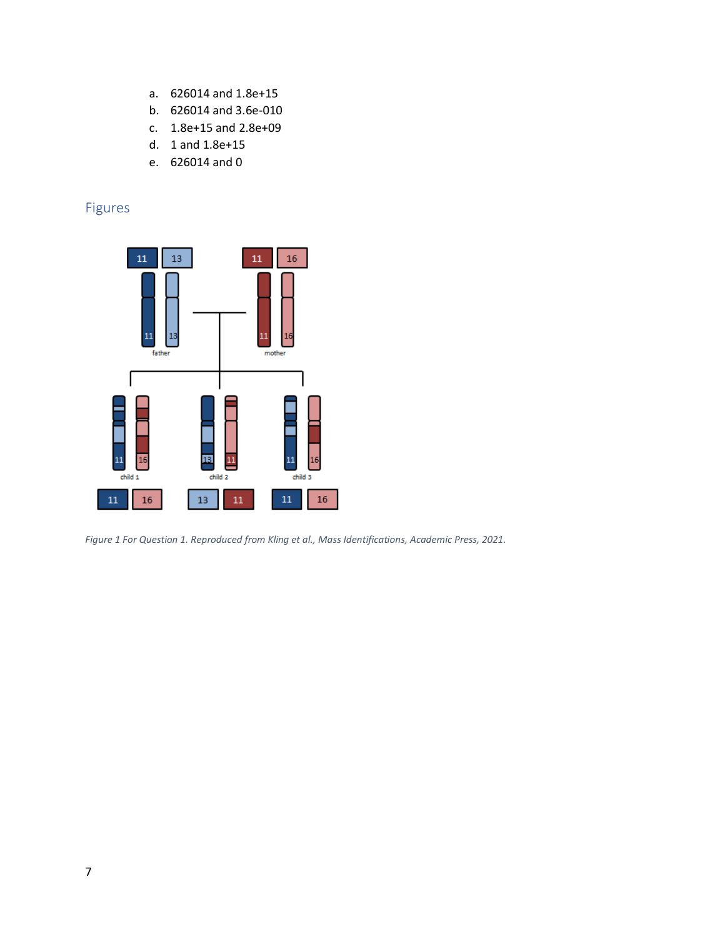- a. 626014 and 1.8e+15
- b. 626014 and 3.6e-010
- c. 1.8e+15 and 2.8e+09
- d. 1 and 1.8e+15
- e. 626014 and 0

## Figures



*Figure 1 For Question 1. Reproduced from Kling et al., Mass Identifications, Academic Press, 2021.*